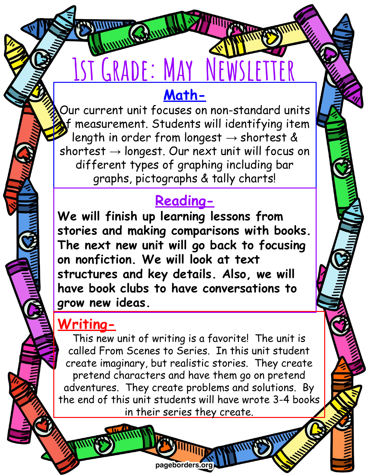#### **Math-**

**1ST GRADE: MAY NEWSLET** 

Our current unit focuses on non-standard units of measurement. Students will identifying item length in order from longest  $\rightarrow$  shortest & shortest  $\rightarrow$  longest. Our next unit will focus on different types of graphing including bar graphs, pictographs & tally charts!

#### **Reading-**

**We will finish up learning lessons from stories and making comparisons with books. The next new unit will go back to focusing on nonfiction. We will look at text structures and key details. Also, we will have book clubs to have conversations to grow new ideas.**

## **Writing-**

This new unit of writing is a favorite! The unit is called From Scenes to Series. In this unit student create imaginary, but realistic stories. They create pretend characters and have them go on pretend adventures. They create problems and solutions. By the end of this unit students will have wrote 3-4 books in their series they create.

pageborders or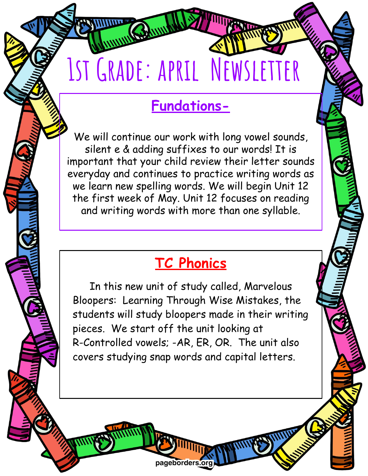# **1st Grade: april Newsletter**

# **Fundations-**

We will continue our work with long vowel sounds, silent e & adding suffixes to our words! It is important that your child review their letter sounds everyday and continues to practice writing words as we learn new spelling words. We will begin Unit 12 the first week of May. Unit 12 focuses on reading and writing words with more than one syllable.

# **TC Phonics**

In this new unit of study called, Marvelous Bloopers: Learning Through Wise Mistakes, the students will study bloopers made in their writing pieces. We start off the unit looking at R-Controlled vowels; -AR, ER, OR. The unit also covers studying snap words and capital letters.

pageborders.o

/5